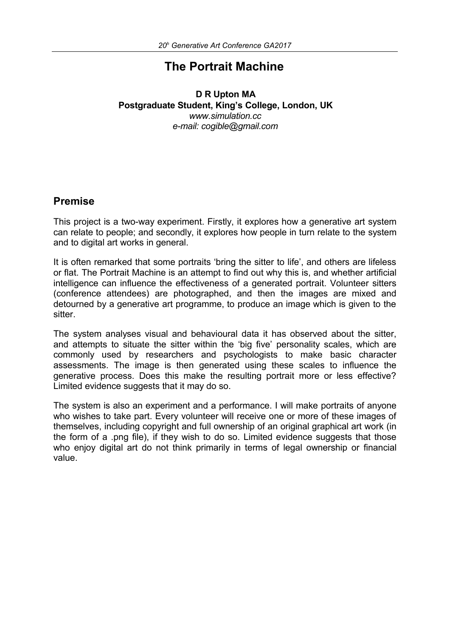# **The Portrait Machine**

#### **D R Upton MA Postgraduate Student, King's College, London, UK** *www.simulation.cc e-mail: cogible@gmail.com*

## **Premise**

This project is a two-way experiment. Firstly, it explores how a generative art system can relate to people; and secondly, it explores how people in turn relate to the system and to digital art works in general.

It is often remarked that some portraits 'bring the sitter to life', and others are lifeless or flat. The Portrait Machine is an attempt to find out why this is, and whether artificial intelligence can influence the effectiveness of a generated portrait. Volunteer sitters (conference attendees) are photographed, and then the images are mixed and detourned by a generative art programme, to produce an image which is given to the sitter.

The system analyses visual and behavioural data it has observed about the sitter, and attempts to situate the sitter within the 'big five' personality scales, which are commonly used by researchers and psychologists to make basic character assessments. The image is then generated using these scales to influence the generative process. Does this make the resulting portrait more or less effective? Limited evidence suggests that it may do so.

The system is also an experiment and a performance. I will make portraits of anyone who wishes to take part. Every volunteer will receive one or more of these images of themselves, including copyright and full ownership of an original graphical art work (in the form of a .png file), if they wish to do so. Limited evidence suggests that those who enjoy digital art do not think primarily in terms of legal ownership or financial value.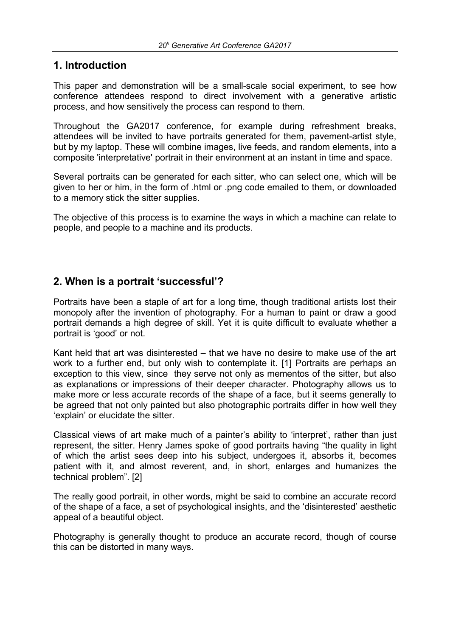## **1. Introduction**

This paper and demonstration will be a small-scale social experiment, to see how conference attendees respond to direct involvement with a generative artistic process, and how sensitively the process can respond to them.

Throughout the GA2017 conference, for example during refreshment breaks, attendees will be invited to have portraits generated for them, pavement-artist style, but by my laptop. These will combine images, live feeds, and random elements, into a composite 'interpretative' portrait in their environment at an instant in time and space.

Several portraits can be generated for each sitter, who can select one, which will be given to her or him, in the form of .html or .png code emailed to them, or downloaded to a memory stick the sitter supplies.

The objective of this process is to examine the ways in which a machine can relate to people, and people to a machine and its products.

## **2. When is a portrait 'successful'?**

Portraits have been a staple of art for a long time, though traditional artists lost their monopoly after the invention of photography. For a human to paint or draw a good portrait demands a high degree of skill. Yet it is quite difficult to evaluate whether a portrait is 'good' or not.

Kant held that art was disinterested – that we have no desire to make use of the art work to a further end, but only wish to contemplate it. [1] Portraits are perhaps an exception to this view, since they serve not only as mementos of the sitter, but also as explanations or impressions of their deeper character. Photography allows us to make more or less accurate records of the shape of a face, but it seems generally to be agreed that not only painted but also photographic portraits differ in how well they 'explain' or elucidate the sitter.

Classical views of art make much of a painter's ability to 'interpret', rather than just represent, the sitter. Henry James spoke of good portraits having "the quality in light of which the artist sees deep into his subject, undergoes it, absorbs it, becomes patient with it, and almost reverent, and, in short, enlarges and humanizes the technical problem". [2]

The really good portrait, in other words, might be said to combine an accurate record of the shape of a face, a set of psychological insights, and the 'disinterested' aesthetic appeal of a beautiful object.

Photography is generally thought to produce an accurate record, though of course this can be distorted in many ways.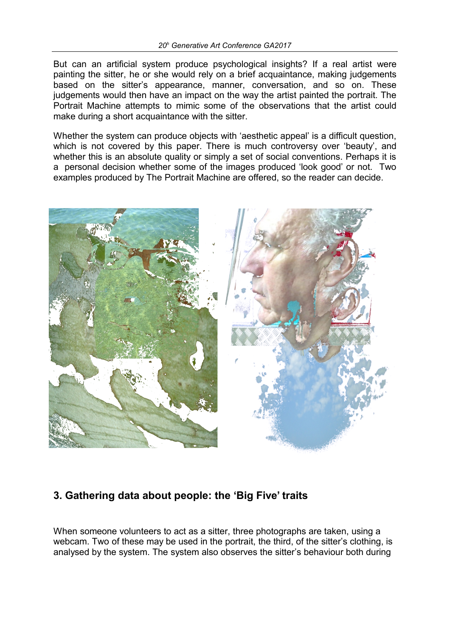But can an artificial system produce psychological insights? If a real artist were painting the sitter, he or she would rely on a brief acquaintance, making judgements based on the sitter's appearance, manner, conversation, and so on. These judgements would then have an impact on the way the artist painted the portrait. The Portrait Machine attempts to mimic some of the observations that the artist could make during a short acquaintance with the sitter.

Whether the system can produce objects with 'aesthetic appeal' is a difficult question, which is not covered by this paper. There is much controversy over 'beauty', and whether this is an absolute quality or simply a set of social conventions. Perhaps it is a personal decision whether some of the images produced 'look good' or not. Two examples produced by The Portrait Machine are offered, so the reader can decide.



# **3. Gathering data about people: the 'Big Five' traits**

When someone volunteers to act as a sitter, three photographs are taken, using a webcam. Two of these may be used in the portrait, the third, of the sitter's clothing, is analysed by the system. The system also observes the sitter's behaviour both during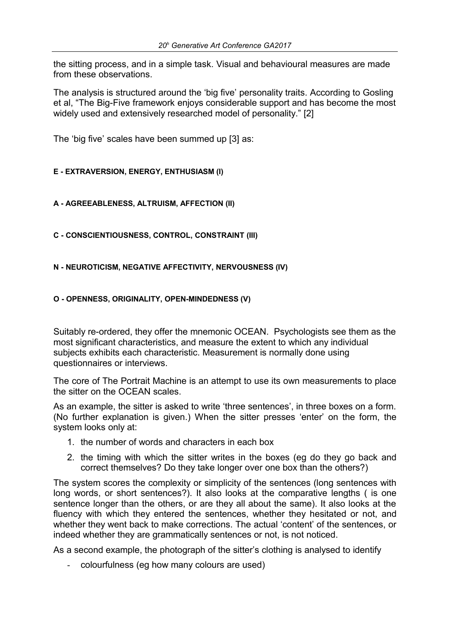the sitting process, and in a simple task. Visual and behavioural measures are made from these observations.

The analysis is structured around the 'big five' personality traits. According to Gosling et al, "The Big-Five framework enjoys considerable support and has become the most widely used and extensively researched model of personality." [2]

The 'big five' scales have been summed up [3] as:

#### **E - EXTRAVERSION, ENERGY, ENTHUSIASM (I)**

#### **A - AGREEABLENESS, ALTRUISM, AFFECTION (II)**

**C - CONSCIENTIOUSNESS, CONTROL, CONSTRAINT (III)** 

**N - NEUROTICISM, NEGATIVE AFFECTIVITY, NERVOUSNESS (IV)**

#### **O - OPENNESS, ORIGINALITY, OPEN-MINDEDNESS (V)**

Suitably re-ordered, they offer the mnemonic OCEAN. Psychologists see them as the most significant characteristics, and measure the extent to which any individual subjects exhibits each characteristic. Measurement is normally done using questionnaires or interviews.

The core of The Portrait Machine is an attempt to use its own measurements to place the sitter on the OCEAN scales.

As an example, the sitter is asked to write 'three sentences', in three boxes on a form. (No further explanation is given.) When the sitter presses 'enter' on the form, the system looks only at:

- 1. the number of words and characters in each box
- 2. the timing with which the sitter writes in the boxes (eg do they go back and correct themselves? Do they take longer over one box than the others?)

The system scores the complexity or simplicity of the sentences (long sentences with long words, or short sentences?). It also looks at the comparative lengths ( is one sentence longer than the others, or are they all about the same). It also looks at the fluency with which they entered the sentences, whether they hesitated or not, and whether they went back to make corrections. The actual 'content' of the sentences, or indeed whether they are grammatically sentences or not, is not noticed.

As a second example, the photograph of the sitter's clothing is analysed to identify

- colourfulness (eg how many colours are used)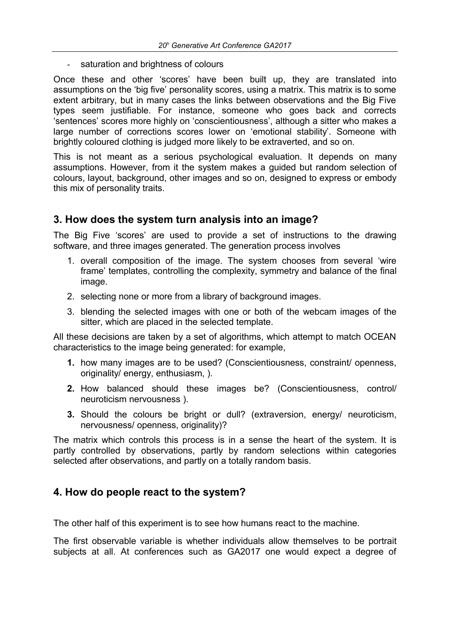- saturation and brightness of colours

Once these and other 'scores' have been built up, they are translated into assumptions on the 'big five' personality scores, using a matrix. This matrix is to some extent arbitrary, but in many cases the links between observations and the Big Five types seem justifiable. For instance, someone who goes back and corrects 'sentences' scores more highly on 'conscientiousness', although a sitter who makes a large number of corrections scores lower on 'emotional stability'. Someone with brightly coloured clothing is judged more likely to be extraverted, and so on.

This is not meant as a serious psychological evaluation. It depends on many assumptions. However, from it the system makes a guided but random selection of colours, layout, background, other images and so on, designed to express or embody this mix of personality traits.

# **3. How does the system turn analysis into an image?**

The Big Five 'scores' are used to provide a set of instructions to the drawing software, and three images generated. The generation process involves

- 1. overall composition of the image. The system chooses from several 'wire frame' templates, controlling the complexity, symmetry and balance of the final image.
- 2. selecting none or more from a library of background images.
- 3. blending the selected images with one or both of the webcam images of the sitter, which are placed in the selected template.

All these decisions are taken by a set of algorithms, which attempt to match OCEAN characteristics to the image being generated: for example,

- **1.** how many images are to be used? (Conscientiousness, constraint/ openness, originality/ energy, enthusiasm, ).
- **2.** How balanced should these images be? (Conscientiousness, control/ neuroticism nervousness ).
- **3.** Should the colours be bright or dull? (extraversion, energy/ neuroticism, nervousness/ openness, originality)?

The matrix which controls this process is in a sense the heart of the system. It is partly controlled by observations, partly by random selections within categories selected after observations, and partly on a totally random basis.

# **4. How do people react to the system?**

The other half of this experiment is to see how humans react to the machine.

The first observable variable is whether individuals allow themselves to be portrait subjects at all. At conferences such as GA2017 one would expect a degree of